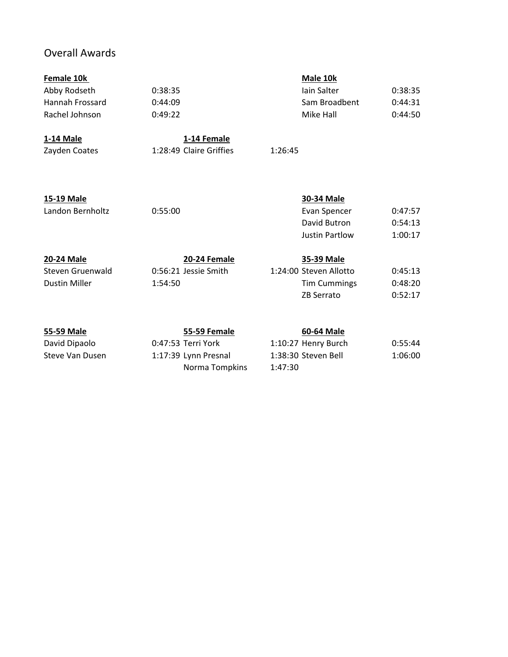## Overall Awards

### **Female 10k** Male 10k

| Abby Rodseth    | 0:38:35 | lain Salter   | 0:38:35 |
|-----------------|---------|---------------|---------|
| Hannah Frossard | 0:44:09 | Sam Broadbent | 0:44:31 |
| Rachel Johnson  | 0:49:22 | Mike Hall     | 0:44:50 |

**1-14 Male 1-14 Female** Zayden Coates 1:28:49 Claire Griffies 1:26:45

| 15-19 Male       |                      | 30-34 Male             |         |
|------------------|----------------------|------------------------|---------|
| Landon Bernholtz | 0:55:00              | Evan Spencer           | 0:47:57 |
|                  |                      | David Butron           | 0:54:13 |
|                  |                      | Justin Partlow         | 1:00:17 |
| 20-24 Male       | 20-24 Female         | 35-39 Male             |         |
| Steven Gruenwald | 0:56:21 Jessie Smith | 1:24:00 Steven Allotto | 0:45:13 |
| Dustin Miller    | 1:54:50              | <b>Tim Cummings</b>    | 0:48:20 |
|                  |                      | <b>ZB Serrato</b>      | 0:52:17 |
|                  |                      |                        |         |

David Dipaolo **0:47:53 Terri York** 

# **55-59 Male 55-59 Female 60-64 Male** Steve Van Dusen 1:17:39 Lynn Presnal Norma Tompkins

| 1:10:27 Henry Burch | 0:55:44 |
|---------------------|---------|
| 1:38:30 Steven Bell | 1:06:00 |
| 1:47:30             |         |